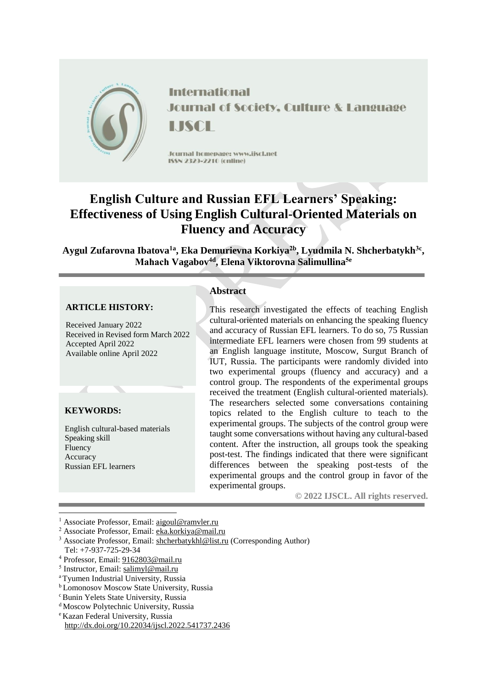

**International Journal of Society, Culture & Language** SCL

Journal homepage: www.jiscl.net ISSN 2329-2210 (cnline)

# **English Culture and Russian EFL Learners' Speaking: Effectiveness of Using English Cultural-Oriented Materials on Fluency and Accuracy**

**Aygul Zufarovna Ibatova1a , Eka Demurievna Korkiya2b , Lyudmila N. Shcherbatykh3c , Mahaсh Vagabov4d , Elena Viktorovna Salimullina5e**

### **ARTICLE HISTORY:**

Received January 2022 Received in Revised form March 2022 Accepted April 2022 Available online April 2022

### **KEYWORDS:**

English cultural-based materials Speaking skill Fluency Accuracy Russian EFL learners

## **Abstract**

This research investigated the effects of teaching English cultural-oriented materials on enhancing the speaking fluency and accuracy of Russian EFL learners. To do so, 75 Russian intermediate EFL learners were chosen from 99 students at an English language institute, Moscow, Surgut Branch of IUT, Russia. The participants were randomly divided into two experimental groups (fluency and accuracy) and a control group. The respondents of the experimental groups received the treatment (English cultural-oriented materials). The researchers selected some conversations containing topics related to the English culture to teach to the experimental groups. The subjects of the control group were taught some conversations without having any cultural-based content. After the instruction, all groups took the speaking post-test. The findings indicated that there were significant differences between the speaking post-tests of the experimental groups and the control group in favor of the experimental groups.

**© 2022 IJSCL. All rights reserved.**

1

<sup>&</sup>lt;sup>1</sup> Associate Professor, Email: [aigoul@ramvler.ru](mailto:aigoul@ramvler.ru)

<sup>2</sup> Associate Professor, Email: [eka.korkiya@mail.ru](mailto:eka.korkiya@mail.ru)

<sup>&</sup>lt;sup>3</sup> Associate Professor, Email: [shcherbatykhl@list.ru](mailto:shcherbatykhl@list.ru) (Corresponding Author)

Tel: +7-937-725-29-34

<sup>4</sup> Professor, Email: [9162803@mail.ru](mailto:9162803@mail.ru)

<sup>&</sup>lt;sup>5</sup> Instructor, Email: [salimyl@mail.ru](mailto:salimyl@mail.ru)

<sup>a</sup>Tyumen Industrial University, Russia

**b** Lomonosov Moscow State University, Russia

<sup>&</sup>lt;sup>c</sup> Bunin Yelets State University, Russia

<sup>&</sup>lt;sup>d</sup> Moscow Polytechnic University, Russia

<sup>e</sup>Kazan Federal University, Russia http://dx.doi.org/10.22034/ijscl.2022.541737.2436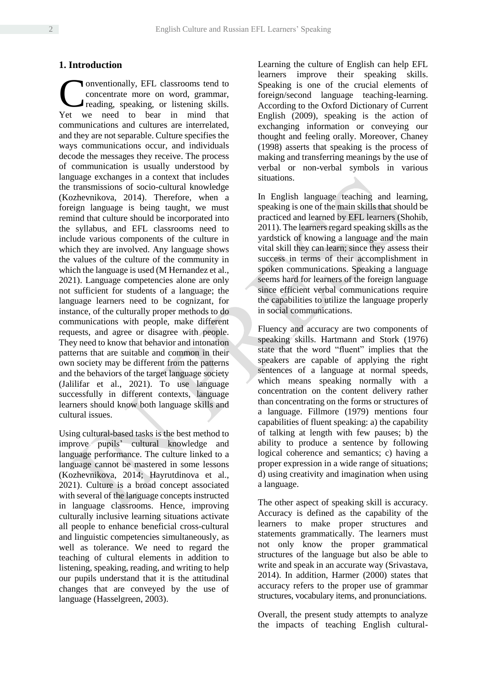## **1. Introduction**

onventionally, EFL classrooms tend to concentrate more on word, grammar, reading, speaking, or listening skills. Conventionally, EFL classrooms tend to concentrate more on word, grammar, reading, speaking, or listening skills.<br>Yet we need to bear in mind that communications and cultures are interrelated, and they are not separable. Culture specifies the ways communications occur, and individuals decode the messages they receive. The process of communication is usually understood by language exchanges in a context that includes the transmissions of socio-cultural knowledge (Kozhevnikova, 2014). Therefore, when a foreign language is being taught, we must remind that culture should be incorporated into the syllabus, and EFL classrooms need to include various components of the culture in which they are involved. Any language shows the values of the culture of the community in which the language is used (M Hernandez et al., 2021). Language competencies alone are only not sufficient for students of a language; the language learners need to be cognizant, for instance, of the culturally proper methods to do communications with people, make different requests, and agree or disagree with people. They need to know that behavior and intonation patterns that are suitable and common in their own society may be different from the patterns and the behaviors of the target language society (Jalilifar et al., 2021). To use language successfully in different contexts, language learners should know both language skills and cultural issues.

Using cultural-based tasks is the best method to improve pupils' cultural knowledge and language performance. The culture linked to a language cannot be mastered in some lessons (Kozhevnikova, 2014; Hayrutdinova et al., 2021). Culture is a broad concept associated with several of the language concepts instructed in language classrooms. Hence, improving culturally inclusive learning situations activate all people to enhance beneficial cross-cultural and linguistic competencies simultaneously, as well as tolerance. We need to regard the teaching of cultural elements in addition to listening, speaking, reading, and writing to help our pupils understand that it is the attitudinal changes that are conveyed by the use of language (Hasselgreen, 2003).

Learning the culture of English can help EFL learners improve their speaking skills. Speaking is one of the crucial elements of foreign/second language teaching-learning. According to the Oxford Dictionary of Current English (2009), speaking is the action of exchanging information or conveying our thought and feeling orally. Moreover, Chaney (1998) asserts that speaking is the process of making and transferring meanings by the use of verbal or non-verbal symbols in various situations.

In English language teaching and learning, speaking is one of the main skills that should be practiced and learned by EFL learners (Shohib, 2011). The learners regard speaking skills as the yardstick of knowing a language and the main vital skill they can learn; since they assess their success in terms of their accomplishment in spoken communications. Speaking a language seems hard for learners of the foreign language since efficient verbal communications require the capabilities to utilize the language properly in social communications.

Fluency and accuracy are two components of speaking skills. Hartmann and Stork (1976) state that the word "fluent" implies that the speakers are capable of applying the right sentences of a language at normal speeds, which means speaking normally with a concentration on the content delivery rather than concentrating on the forms or structures of a language. Fillmore (1979) mentions four capabilities of fluent speaking: a) the capability of talking at length with few pauses; b) the ability to produce a sentence by following logical coherence and semantics; c) having a proper expression in a wide range of situations; d) using creativity and imagination when using a language.

The other aspect of speaking skill is accuracy. Accuracy is defined as the capability of the learners to make proper structures and statements grammatically. The learners must not only know the proper grammatical structures of the language but also be able to write and speak in an accurate way (Srivastava, 2014). In addition, Harmer (2000) states that accuracy refers to the proper use of grammar structures, vocabulary items, and pronunciations.

Overall, the present study attempts to analyze the impacts of teaching English cultural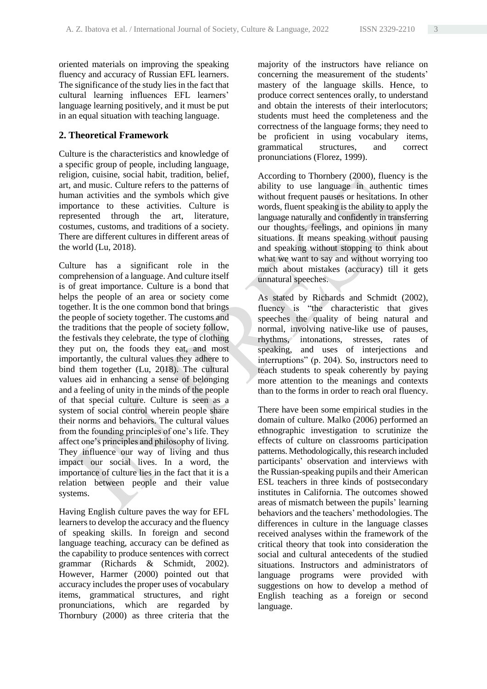oriented materials on improving the speaking fluency and accuracy of Russian EFL learners. The significance of the study lies in the fact that cultural learning influences EFL learners' language learning positively, and it must be put in an equal situation with teaching language.

# **2. Theoretical Framework**

Culture is the characteristics and knowledge of a specific group of people, including language, religion, cuisine, social habit, tradition, belief, art, and music. Culture refers to the patterns of human activities and the symbols which give importance to these activities. Culture is represented through the art, literature, costumes, customs, and traditions of a society. There are different cultures in different areas of the world (Lu, 2018).

Culture has a significant role in the comprehension of a language. And culture itself is of great importance. Culture is a bond that helps the people of an area or society come together. It is the one common bond that brings the people of society together. The customs and the traditions that the people of society follow, the festivals they celebrate, the type of clothing they put on, the foods they eat, and most importantly, the cultural values they adhere to bind them together (Lu, 2018). The cultural values aid in enhancing a sense of belonging and a feeling of unity in the minds of the people of that special culture. Culture is seen as a system of social control wherein people share their norms and behaviors. The cultural values from the founding principles of one's life. They affect one's principles and philosophy of living. They influence our way of living and thus impact our social lives. In a word, the importance of culture lies in the fact that it is a relation between people and their value systems.

Having English culture paves the way for EFL learners to develop the accuracy and the fluency of speaking skills. In foreign and second language teaching, accuracy can be defined as the capability to produce sentences with correct grammar (Richards & Schmidt, 2002). However, Harmer (2000) pointed out that accuracy includes the proper uses of vocabulary items, grammatical structures, and right pronunciations, which are regarded by Thornbury (2000) as three criteria that the majority of the instructors have reliance on concerning the measurement of the students' mastery of the language skills. Hence, to produce correct sentences orally, to understand and obtain the interests of their interlocutors; students must heed the completeness and the correctness of the language forms; they need to be proficient in using vocabulary items, grammatical structures, and correct pronunciations (Florez, 1999).

According to Thornbery (2000), fluency is the ability to use language in authentic times without frequent pauses or hesitations. In other words, fluent speaking is the ability to apply the language naturally and confidently in transferring our thoughts, feelings, and opinions in many situations. It means speaking without pausing and speaking without stopping to think about what we want to say and without worrying too much about mistakes (accuracy) till it gets unnatural speeches.

As stated by Richards and Schmidt (2002), fluency is "the characteristic that gives speeches the quality of being natural and normal, involving native-like use of pauses, rhythms, intonations, stresses, rates of speaking, and uses of interjections and interruptions" (p. 204). So, instructors need to teach students to speak coherently by paying more attention to the meanings and contexts than to the forms in order to reach oral fluency.

There have been some empirical studies in the domain of culture. Malko (2006) performed an ethnographic investigation to scrutinize the effects of culture on classrooms participation patterns. Methodologically, this research included participants' observation and interviews with the Russian-speaking pupils and their American ESL teachers in three kinds of postsecondary institutes in California. The outcomes showed areas of mismatch between the pupils' learning behaviors and the teachers' methodologies. The differences in culture in the language classes received analyses within the framework of the critical theory that took into consideration the social and cultural antecedents of the studied situations. Instructors and administrators of language programs were provided with suggestions on how to develop a method of English teaching as a foreign or second language.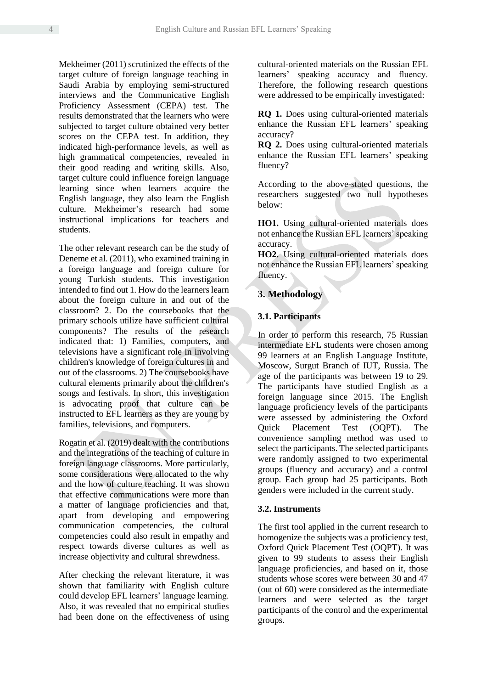Mekheimer (2011) scrutinized the effects of the target culture of foreign language teaching in Saudi Arabia by employing semi-structured interviews and the Communicative English Proficiency Assessment (CEPA) test. The results demonstrated that the learners who were subjected to target culture obtained very better scores on the CEPA test. In addition, they indicated high-performance levels, as well as high grammatical competencies, revealed in their good reading and writing skills. Also, target culture could influence foreign language learning since when learners acquire the English language, they also learn the English culture. Mekheimer's research had some instructional implications for teachers and students.

The other relevant research can be the study of Deneme et al. (2011), who examined training in a foreign language and foreign culture for young Turkish students. This investigation intended to find out 1. How do the learners learn about the foreign culture in and out of the classroom? 2. Do the coursebooks that the primary schools utilize have sufficient cultural components? The results of the research indicated that: 1) Families, computers, and televisions have a significant role in involving children's knowledge of foreign cultures in and out of the classrooms. 2) The coursebooks have cultural elements primarily about the children's songs and festivals. In short, this investigation is advocating proof that culture can be instructed to EFL learners as they are young by families, televisions, and computers.

Rogatin et al. (2019) dealt with the contributions and the integrations of the teaching of culture in foreign language classrooms. More particularly, some considerations were allocated to the why and the how of culture teaching. It was shown that effective communications were more than a matter of language proficiencies and that, apart from developing and empowering communication competencies, the cultural competencies could also result in empathy and respect towards diverse cultures as well as increase objectivity and cultural shrewdness.

After checking the relevant literature, it was shown that familiarity with English culture could develop EFL learners' language learning. Also, it was revealed that no empirical studies had been done on the effectiveness of using cultural-oriented materials on the Russian EFL learners' speaking accuracy and fluency. Therefore, the following research questions were addressed to be empirically investigated:

**RQ 1.** Does using cultural-oriented materials enhance the Russian EFL learners' speaking accuracy?

**RQ 2.** Does using cultural-oriented materials enhance the Russian EFL learners' speaking fluency?

According to the above-stated questions, the researchers suggested two null hypotheses below:

**HO1.** Using cultural-oriented materials does not enhance the Russian EFL learners' speaking accuracy.

**HO2.** Using cultural-oriented materials does not enhance the Russian EFL learners' speaking fluency.

# **3. Methodology**

# **3.1. Participants**

In order to perform this research, 75 Russian intermediate EFL students were chosen among 99 learners at an English Language Institute, Moscow, Surgut Branch of IUT, Russia. The age of the participants was between 19 to 29. The participants have studied English as a foreign language since 2015. The English language proficiency levels of the participants were assessed by administering the Oxford Quick Placement Test (OQPT). The convenience sampling method was used to select the participants. The selected participants were randomly assigned to two experimental groups (fluency and accuracy) and a control group. Each group had 25 participants. Both genders were included in the current study.

# **3.2. Instruments**

The first tool applied in the current research to homogenize the subjects was a proficiency test, Oxford Quick Placement Test (OQPT). It was given to 99 students to assess their English language proficiencies, and based on it, those students whose scores were between 30 and 47 (out of 60) were considered as the intermediate learners and were selected as the target participants of the control and the experimental groups.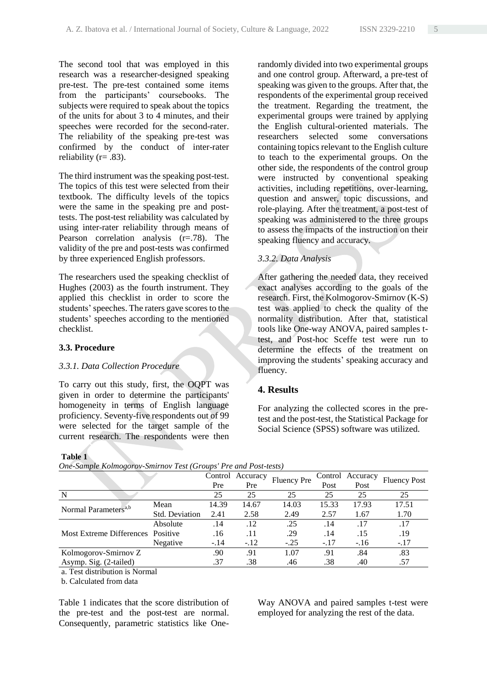The second tool that was employed in this research was a researcher-designed speaking pre-test. The pre-test contained some items from the participants' coursebooks. The subjects were required to speak about the topics of the units for about 3 to 4 minutes, and their speeches were recorded for the second-rater. The reliability of the speaking pre-test was confirmed by the conduct of inter-rater reliability ( $r = .83$ ).

The third instrument was the speaking post-test. The topics of this test were selected from their textbook. The difficulty levels of the topics were the same in the speaking pre and posttests. The post-test reliability was calculated by using inter-rater reliability through means of Pearson correlation analysis (r=.78). The validity of the pre and post-tests was confirmed by three experienced English professors.

The researchers used the speaking checklist of Hughes (2003) as the fourth instrument. They applied this checklist in order to score the students' speeches. The raters gave scores to the students' speeches according to the mentioned checklist.

## **3.3. Procedure**

### *3.3.1. Data Collection Procedure*

To carry out this study, first, the OQPT was given in order to determine the participants' homogeneity in terms of English language proficiency. Seventy-five respondents out of 99 were selected for the target sample of the current research. The respondents were then

#### **Table 1**

|                                   |                       | Control<br>Pre | Accuracy<br>Pre | <b>Fluency Pre</b> | Control<br>Post | Accuracy<br>Post | <b>Fluency Post</b> |
|-----------------------------------|-----------------------|----------------|-----------------|--------------------|-----------------|------------------|---------------------|
| N                                 |                       | 25             | 25              | 25                 | 25              | 25               | 25                  |
|                                   | Mean                  | 14.39          | 14.67           | 14.03              | 15.33           | 17.93            | 17.51               |
| Normal Parameters <sup>a,b</sup>  | <b>Std. Deviation</b> | 2.41           | 2.58            | 2.49               | 2.57            | 1.67             | 1.70                |
|                                   | Absolute              | .14            | .12             | .25                | .14             | .17              | .17                 |
| Most Extreme Differences Positive |                       | .16            | .11             | .29                | .14             | .15              | .19                 |
|                                   | Negative              | $-.14$         | $-12$           | $-.25$             | $-.17$          | $-.16$           | $-.17$              |
| Kolmogorov-Smirnov Z              |                       | .90            | .91             | 1.07               | .91             | .84              | .83                 |
| Asymp. Sig. (2-tailed)            |                       | .37            | .38             | .46                | .38             | .40              | .57                 |
|                                   |                       |                |                 |                    |                 |                  |                     |

*One-Sample Kolmogorov-Smirnov Test (Groups' Pre and Post-tests)*

a. Test distribution is Normal

b. Calculated from data

Table 1 indicates that the score distribution of the pre-test and the post-test are normal. Consequently, parametric statistics like OneWay ANOVA and paired samples t-test were employed for analyzing the rest of the data.

randomly divided into two experimental groups and one control group. Afterward, a pre-test of speaking was given to the groups. After that, the respondents of the experimental group received the treatment. Regarding the treatment, the experimental groups were trained by applying the English cultural-oriented materials. The researchers selected some conversations containing topics relevant to the English culture to teach to the experimental groups. On the other side, the respondents of the control group were instructed by conventional speaking activities, including repetitions, over-learning, question and answer, topic discussions, and role-playing. After the treatment, a post-test of speaking was administered to the three groups to assess the impacts of the instruction on their speaking fluency and accuracy.

# *3.3.2. Data Analysis*

After gathering the needed data, they received exact analyses according to the goals of the research. First, the Kolmogorov-Smirnov (K-S) test was applied to check the quality of the normality distribution. After that, statistical tools like One-way ANOVA, paired samples ttest, and Post-hoc Sceffe test were run to determine the effects of the treatment on improving the students' speaking accuracy and fluency.

## **4. Results**

For analyzing the collected scores in the pretest and the post-test, the Statistical Package for Social Science (SPSS) software was utilized.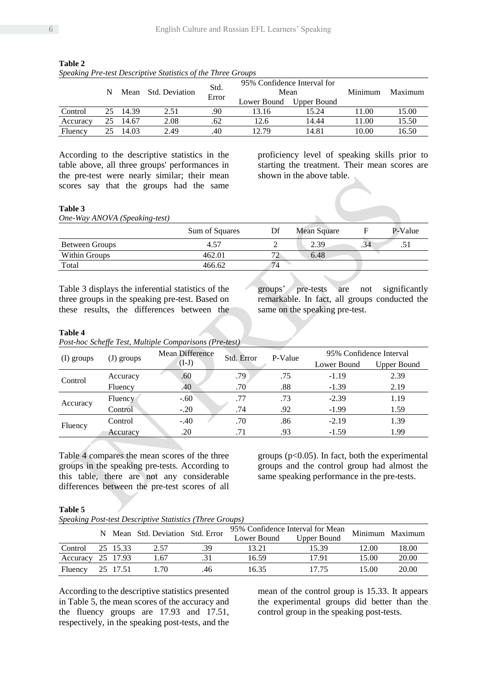|          | N  | Mean  | <b>Std. Deviation</b> | Std.  |             | 95% Confidence Interval for<br>Mean | Minimum | Maximum |
|----------|----|-------|-----------------------|-------|-------------|-------------------------------------|---------|---------|
|          |    |       |                       | Error | Lower Bound | Upper Bound                         |         |         |
| Control  | 25 | 14.39 | 2.51                  | .90   | 13.16       | 15.24                               | 11.00   | 15.00   |
| Accuracy | 25 | 14.67 | 2.08                  | .62   | 12.6        | 14.44                               | 11.00   | 15.50   |
| Fluency  | 25 | 14.03 | 2.49                  | .40   | 12.79       | 14.81                               | 10.00   | 16.50   |

**Table 2**  *Speaking Pre-test Descriptive Statistics of the Three Groups*

According to the descriptive statistics in the table above, all three groups' performances in the pre-test were nearly similar; their mean scores say that the groups had the same

proficiency level of speaking skills prior to starting the treatment. Their mean scores are shown in the above table.

#### **Table 3**

*One-Way ANOVA (Speaking-test)*

| Sum of Squares | Df | Mean Square |     | P-Value |
|----------------|----|-------------|-----|---------|
| 4.57           |    | 2.39        | .34 | .51     |
| 462.01         |    | 6.48        |     |         |
| 466.62         | 74 |             |     |         |
|                |    |             |     |         |

Table 3 displays the inferential statistics of the three groups in the speaking pre-test. Based on these results, the differences between the groups' pre-tests are not significantly remarkable. In fact, all groups conducted the same on the speaking pre-test.

#### **Table 4**

*Post-hoc Scheffe Test, Multiple Comparisons (Pre-test)*

| (I) groups | (J) groups | Mean Difference | Std. Error | 95% Confidence Interval                                                                                                                                                            |                    |  |
|------------|------------|-----------------|------------|------------------------------------------------------------------------------------------------------------------------------------------------------------------------------------|--------------------|--|
|            |            | $(I-J)$         |            | P-Value<br>Lower Bound<br>.75<br>2.39<br>$-1.19$<br>$-1.39$<br>.88<br>2.19<br>$-2.39$<br>.73<br>1.19<br>$-1.99$<br>.92<br>1.59<br>$-2.19$<br>1.39<br>.86<br>1.99<br>$-1.59$<br>.93 | <b>Upper Bound</b> |  |
| Control    | Accuracy   | .60             | .79        |                                                                                                                                                                                    |                    |  |
|            | Fluency    | .40             | .70        |                                                                                                                                                                                    |                    |  |
| Accuracy   | Fluency    | $-.60$          | .77        |                                                                                                                                                                                    |                    |  |
|            | Control    | $-.20$          | .74        |                                                                                                                                                                                    |                    |  |
| Fluency    | Control    | $-.40$          | .70        |                                                                                                                                                                                    |                    |  |
|            | Accuracy   | .20             | .71        |                                                                                                                                                                                    |                    |  |

Table 4 compares the mean scores of the three groups in the speaking pre-tests. According to this table, there are not any considerable differences between the pre-test scores of all

groups ( $p<0.05$ ). In fact, both the experimental groups and the control group had almost the same speaking performance in the pre-tests.

#### **Table 5**

*Speaking Post-test Descriptive Statistics (Three Groups)*

|                  |  |          | N Mean Std. Deviation Std. Error |     | 95% Confidence Interval for Mean Minimum Maximum |                    |       |       |
|------------------|--|----------|----------------------------------|-----|--------------------------------------------------|--------------------|-------|-------|
|                  |  |          |                                  |     | Lower Bound                                      | <b>Upper Bound</b> |       |       |
| Control          |  | 25 15.33 | 2.57                             | .39 | 13.21                                            | 15.39              | 12.00 | 18.00 |
| Accuracy         |  | 25 17.93 | 1.67                             |     | 16.59                                            | 1791               | 15.00 | 20.00 |
| Fluency 25 17.51 |  |          | 1.70                             | .46 | 16.35                                            | 17.75              | 15.00 | 20.00 |

According to the descriptive statistics presented in Table 5, the mean scores of the accuracy and the fluency groups are 17.93 and 17.51, respectively, in the speaking post-tests, and the

mean of the control group is 15.33. It appears the experimental groups did better than the control group in the speaking post-tests.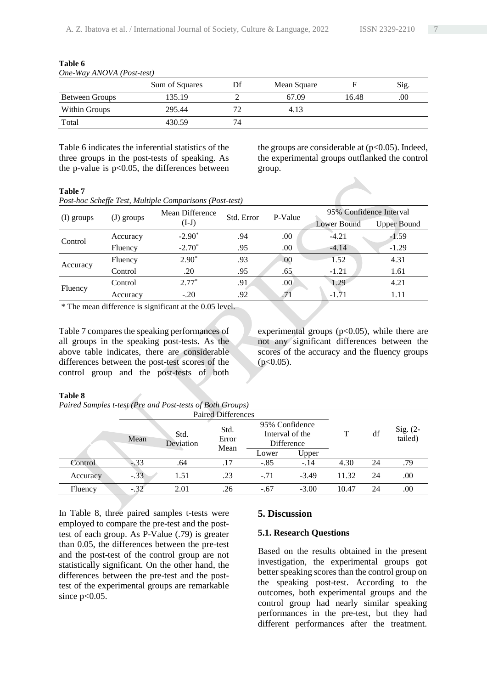|                       | Sum of Squares | Df | Mean Square |       | Sig.     |
|-----------------------|----------------|----|-------------|-------|----------|
| <b>Between Groups</b> | 135.19         |    | 67.09       | 16.48 | $_{.00}$ |
| Within Groups         | 295.44         | 72 | 4.13        |       |          |
| Total                 | 430.59         | 74 |             |       |          |

**Table 6** *One-Way ANOVA (Post-test)*

Table 6 indicates the inferential statistics of the three groups in the post-tests of speaking. As the p-value is  $p<0.05$ , the differences between

the groups are considerable at  $(p<0.05)$ . Indeed, the experimental groups outflanked the control group.

#### **Table 7**

|  | Post-hoc Scheffe Test, Multiple Comparisons (Post-test) |
|--|---------------------------------------------------------|
|--|---------------------------------------------------------|

|            |          | 95% Confidence Interval<br>Mean Difference<br>Std. Error<br>P-Value<br>(J) groups |                                                                                                                                      |      |             |                    |
|------------|----------|-----------------------------------------------------------------------------------|--------------------------------------------------------------------------------------------------------------------------------------|------|-------------|--------------------|
| (I) groups |          | $(I-J)$                                                                           |                                                                                                                                      |      | Lower Bound | <b>Upper Bound</b> |
| Control    | Accuracy | $-2.90*$                                                                          | $-4.21$<br>.00<br>.94<br>$-1.59$<br>$-4.14$<br>.00<br>$-1.29$<br>.95<br>4.31<br>1.52<br>.93<br>.00.<br>.95<br>$-1.21$<br>.65<br>1.61 |      |             |                    |
|            | Fluency  | $-2.70*$                                                                          |                                                                                                                                      |      |             |                    |
| Accuracy   | Fluency  | $2.90*$                                                                           |                                                                                                                                      |      |             |                    |
|            | Control  | .20                                                                               |                                                                                                                                      |      |             |                    |
| Fluency    | Control  | $2.77*$                                                                           | .91                                                                                                                                  | .00. | 1.29        | 4.21               |
|            | Accuracy | $-.20$                                                                            | .92                                                                                                                                  | .71  | $-1.71$     | 1.11               |

\* The mean difference is significant at the 0.05 level.

Table 7 compares the speaking performances of all groups in the speaking post-tests. As the above table indicates, there are considerable differences between the post-test scores of the control group and the post-tests of both

experimental groups  $(p<0.05)$ , while there are not any significant differences between the scores of the accuracy and the fluency groups  $(p<0.05)$ .

#### **Table 8**

*Paired Samples t-test (Pre and Post-tests of Both Groups)*

|          | Mean   | Std.<br>Error<br>Deviation |      | 95% Confidence<br>Interval of the<br>Difference |         | т     | df | Sig. (2-<br>tailed) |
|----------|--------|----------------------------|------|-------------------------------------------------|---------|-------|----|---------------------|
|          |        |                            | Mean | Lower                                           | Upper   |       |    |                     |
| Control  | $-.33$ | .64                        | .17  | $-.85$                                          | $-.14$  | 4.30  | 24 | .79                 |
| Accuracy | $-.33$ | 1.51                       | .23  | $-.71$                                          | $-3.49$ | 11.32 | 24 | .00                 |
| Fluency  | $-.32$ | 2.01                       | .26  | $-.67$                                          | $-3.00$ | 10.47 | 24 | .00                 |

In Table 8, three paired samples t-tests were employed to compare the pre-test and the posttest of each group. As P-Value (.79) is greater than 0.05, the differences between the pre-test and the post-test of the control group are not statistically significant. On the other hand, the differences between the pre-test and the posttest of the experimental groups are remarkable since  $p<0.05$ .

# **5. Discussion**

### **5.1. Research Questions**

Based on the results obtained in the present investigation, the experimental groups got better speaking scores than the control group on the speaking post-test. According to the outcomes, both experimental groups and the control group had nearly similar speaking performances in the pre-test, but they had different performances after the treatment.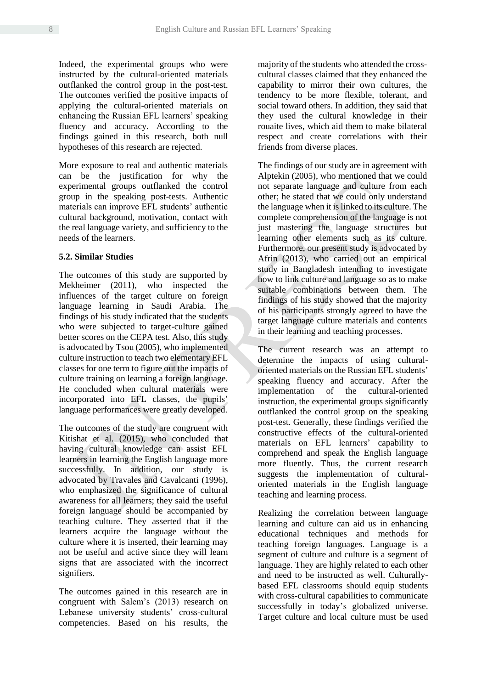Indeed, the experimental groups who were instructed by the cultural-oriented materials outflanked the control group in the post-test. The outcomes verified the positive impacts of applying the cultural-oriented materials on enhancing the Russian EFL learners' speaking fluency and accuracy. According to the findings gained in this research, both null hypotheses of this research are rejected.

More exposure to real and authentic materials can be the justification for why the experimental groups outflanked the control group in the speaking post-tests. Authentic materials can improve EFL students' authentic cultural background, motivation, contact with the real language variety, and sufficiency to the needs of the learners.

### **5.2. Similar Studies**

The outcomes of this study are supported by Mekheimer (2011), who inspected the influences of the target culture on foreign language learning in Saudi Arabia. The findings of his study indicated that the students who were subjected to target-culture gained better scores on the CEPA test. Also, this study is advocated by Tsou (2005), who implemented culture instruction to teach two elementary EFL classes for one term to figure out the impacts of culture training on learning a foreign language. He concluded when cultural materials were incorporated into EFL classes, the pupils' language performances were greatly developed.

The outcomes of the study are congruent with Kitishat et al. (2015), who concluded that having cultural knowledge can assist EFL learners in learning the English language more successfully. In addition, our study is advocated by Travales and Cavalcanti (1996), who emphasized the significance of cultural awareness for all learners; they said the useful foreign language should be accompanied by teaching culture. They asserted that if the learners acquire the language without the culture where it is inserted, their learning may not be useful and active since they will learn signs that are associated with the incorrect signifiers.

The outcomes gained in this research are in congruent with Salem's (2013) research on Lebanese university students' cross-cultural competencies. Based on his results, the majority of the students who attended the crosscultural classes claimed that they enhanced the capability to mirror their own cultures, the tendency to be more flexible, tolerant, and social toward others. In addition, they said that they used the cultural knowledge in their rouaite lives, which aid them to make bilateral respect and create correlations with their friends from diverse places.

The findings of our study are in agreement with Alptekin (2005), who mentioned that we could not separate language and culture from each other; he stated that we could only understand the language when it is linked to its culture. The complete comprehension of the language is not just mastering the language structures but learning other elements such as its culture. Furthermore, our present study is advocated by Afrin (2013), who carried out an empirical study in Bangladesh intending to investigate how to link culture and language so as to make suitable combinations between them. The findings of his study showed that the majority of his participants strongly agreed to have the target language culture materials and contents in their learning and teaching processes.

The current research was an attempt to determine the impacts of using culturaloriented materials on the Russian EFL students' speaking fluency and accuracy. After the implementation of the cultural-oriented instruction, the experimental groups significantly outflanked the control group on the speaking post-test. Generally, these findings verified the constructive effects of the cultural-oriented materials on EFL learners' capability to comprehend and speak the English language more fluently. Thus, the current research suggests the implementation of culturaloriented materials in the English language teaching and learning process.

Realizing the correlation between language learning and culture can aid us in enhancing educational techniques and methods for teaching foreign languages. Language is a segment of culture and culture is a segment of language. They are highly related to each other and need to be instructed as well. Culturallybased EFL classrooms should equip students with cross-cultural capabilities to communicate successfully in today's globalized universe. Target culture and local culture must be used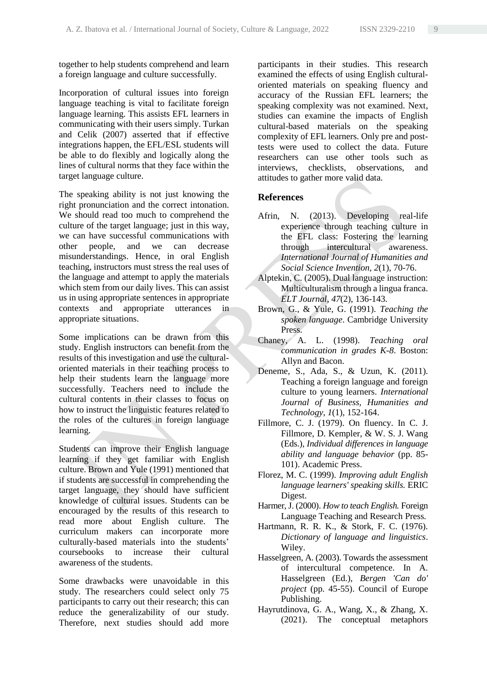together to help students comprehend and learn a foreign language and culture successfully.

Incorporation of cultural issues into foreign language teaching is vital to facilitate foreign language learning. This assists EFL learners in communicating with their users simply. Turkan and Celik (2007) asserted that if effective integrations happen, the EFL/ESL students will be able to do flexibly and logically along the lines of cultural norms that they face within the target language culture.

The speaking ability is not just knowing the right pronunciation and the correct intonation. We should read too much to comprehend the culture of the target language; just in this way, we can have successful communications with other people, and we can decrease misunderstandings. Hence, in oral English teaching, instructors must stress the real uses of the language and attempt to apply the materials which stem from our daily lives. This can assist us in using appropriate sentences in appropriate contexts and appropriate utterances in appropriate situations.

Some implications can be drawn from this study. English instructors can benefit from the results of this investigation and use the culturaloriented materials in their teaching process to help their students learn the language more successfully. Teachers need to include the cultural contents in their classes to focus on how to instruct the linguistic features related to the roles of the cultures in foreign language learning.

Students can improve their English language learning if they get familiar with English culture. Brown and Yule (1991) mentioned that if students are successful in comprehending the target language, they should have sufficient knowledge of cultural issues. Students can be encouraged by the results of this research to read more about English culture. The curriculum makers can incorporate more culturally-based materials into the students' coursebooks to increase their cultural awareness of the students.

Some drawbacks were unavoidable in this study. The researchers could select only 75 participants to carry out their research; this can reduce the generalizability of our study. Therefore, next studies should add more

participants in their studies. This research examined the effects of using English culturaloriented materials on speaking fluency and accuracy of the Russian EFL learners; the speaking complexity was not examined. Next, studies can examine the impacts of English cultural-based materials on the speaking complexity of EFL learners. Only pre and posttests were used to collect the data. Future researchers can use other tools such as interviews, checklists, observations, and attitudes to gather more valid data.

# **References**

- Afrin, N. (2013). Developing real-life experience through teaching culture in the EFL class: Fostering the learning through intercultural awareness. *International Journal of Humanities and Social Science Invention, 2*(1), 70-76.
- Alptekin, C. (2005). Dual language instruction: Multiculturalism through a lingua franca. *ELT Journal, 47*(2), 136-143.
- Brown, G., & Yule, G. (1991). *Teaching the spoken language*. Cambridge University Press.
- Chaney, A. L. (1998). *Teaching oral communication in grades K-8*. Boston: Allyn and Bacon.
- Deneme, S., Ada, S., & Uzun, K. (2011). Teaching a foreign language and foreign culture to young learners. *International Journal of Business, Humanities and Technology*, *1*(1), 152-164.
- Fillmore, C. J. (1979). On fluency. In C. J. Fillmore, D. Kempler, & W. S. J. Wang (Eds.), *Individual differences in language ability and language behavior* (pp. 85- 101). Academic Press.
- Florez, M. C. (1999). *Improving adult English language learners' speaking skills.* ERIC Digest.
- Harmer, J. (2000). *How to teach English.* Foreign Language Teaching and Research Press.
- Hartmann, R. R. K., & Stork, F. C. (1976). *Dictionary of language and linguistics*. Wiley.
- Hasselgreen, A. (2003). Towards the assessment of intercultural competence. In A. Hasselgreen (Ed.), *Bergen 'Can do' project* (pp. 45-55). Council of Europe Publishing.
- Hayrutdinova, G. A., Wang, X., & Zhang, X. (2021). The conceptual metaphors